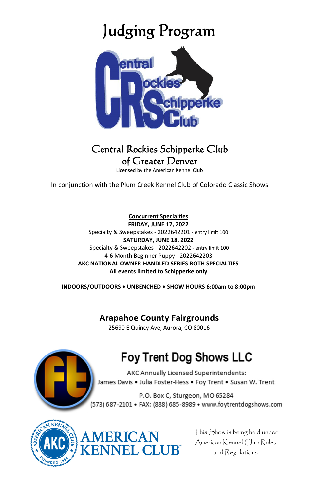# Judging Program



### Central Rockies Schipperke Club of Greater Denver

Licensed by the American Kennel Club

In conjunction with the Plum Creek Kennel Club of Colorado Classic Shows

**Concurrent SpecialƟes FRIDAY, JUNE 17, 2022**  Specialty & Sweepstakes - 2022642201 - entry limit 100 **SATURDAY, JUNE 18, 2022**  Specialty & Sweepstakes - 2022642202 - entry limit 100 4-6 Month Beginner Puppy - 2022642203 **AKC NATIONAL OWNER-HANDLED SERIES BOTH SPECIALTIES All events limited to Schipperke only** 

**INDOORS/OUTDOORS • UNBENCHED • SHOW HOURS 6:00am to 8:00pm** 

### **Arapahoe County Fairgrounds**

25690 E Quincy Ave, Aurora, CO 80016

ERICAN **JEL CLUR** 



## Foy Trent Dog Shows LLC

AKC Annually Licensed Superintendents: James Davis . Julia Foster-Hess . Foy Trent . Susan W. Trent

P.O. Box C, Sturgeon, MO 65284 (573) 687-2101 • FAX: (888) 685-8989 • www.foytrentdogshows.com



This Show is being held under American Kennel Club Rules and Regulations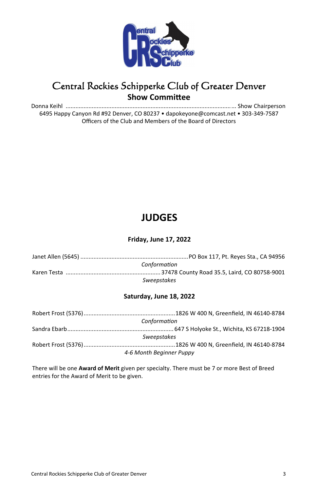

### Central Rockies Schipperke Club of Greater Denver **Show Committee**

Donna Keihl ..................................................................................................... ... Show Chairperson 6495 Happy Canyon Rd #92 Denver, CO 80237 • dapokeyone@comcast.net • 303-349-7587 Officers of the Club and Members of the Board of Directors

### **JUDGES**

#### **Friday, June 17, 2022**

| Janet Allen (5645) …………………………………………………………PO Box 117, Pt. Reves Sta., CA 94956 |  |
|-------------------------------------------------------------------------------|--|
| Conformation                                                                  |  |
|                                                                               |  |
| Sweepstakes                                                                   |  |

#### **Saturday, June 18, 2022**

|                          | Conformation |  |
|--------------------------|--------------|--|
|                          |              |  |
| <b>Sweepstakes</b>       |              |  |
|                          |              |  |
| 4-6 Month Beginner Puppy |              |  |

There will be one **Award of Merit** given per specialty. There must be 7 or more Best of Breed entries for the Award of Merit to be given.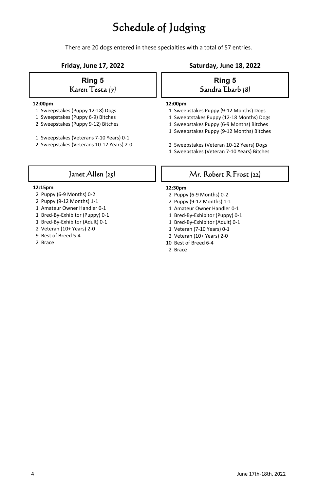### Schedule of Judging

There are 20 dogs entered in these specialties with a total of 57 entries.

#### **Ring 5**  Karen Testa (7)

#### **12:00pm**

- 1 Sweepstakes (Puppy 12-18) Dogs
- 1 Sweepstakes (Puppy 6-9) Bitches
- 2 Sweepstakes (Puppy 9-12) Bitches
- 1 Sweepstakes (Veterans 7-10 Years) 0-1
- 2 Sweepstakes (Veterans 10-12 Years) 2-0

#### **Friday, June 17, 2022 Saturday, June 18, 2022**

#### **Ring 5**  Sandra Ebarb (8)

#### **12:00pm**

- 1 Sweepstakes Puppy (9-12 Months) Dogs
- 1 Sweeptstakes Puppy (12-18 Months) Dogs
- 1 Sweepstakes Puppy (6-9 Months) Bitches
- 1 Sweepstakes Puppy (9-12 Months) Bitches
- 2 Sweepstakes (Veteran 10-12 Years) Dogs
- 1 Sweepstakes (Veteran 7-10 Years) Bitches

### Janet Allen (25)

#### **12:15pm**

- 2 Puppy (6-9 Months) 0-2
- 2 Puppy (9-12 Months) 1-1
- 1 Amateur Owner Handler 0-1
- 1 Bred-By-Exhibitor (Puppy) 0-1
- 1 Bred-By-Exhibitor (Adult) 0-1
- 2 Veteran (10+ Years) 2-0
- 9 Best of Breed 5-4
- 2 Brace

#### Mr. Robert R Frost (22)

#### **12:30pm**

- 2 Puppy (6-9 Months) 0-2
- 2 Puppy (9-12 Months) 1-1
- 1 Amateur Owner Handler 0-1
- 1 Bred-By-Exhibitor (Puppy) 0-1
- 1 Bred-By-Exhibitor (Adult) 0-1
- 1 Veteran (7-10 Years) 0-1
- 2 Veteran (10+ Years) 2-0
- 10 Best of Breed 6-4
- 2 Brace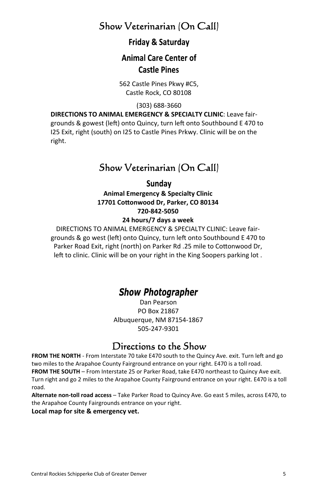### Show Veterinarian (On Call)

### Friday & Saturday

### **Animal Care Center of Castle Pines**

562 Castle Pines Pkwy #C5, Castle Rock, CO 80108

(303) 688-3660

**DIRECTIONS TO ANIMAL EMERGENCY & SPECIALTY CLINIC**: Leave fairgrounds & gowest (left) onto Quincy, turn left onto Southbound E 470 to I25 Exit, right (south) on I25 to Castle Pines Prkwy. Clinic will be on the right.

### Show Veterinarian (On Call)

#### Sundav

**Animal Emergency & Specialty Clinic 17701 CoƩonwood Dr, Parker, CO 80134 720-842-5050** 

#### **24 hours/7 days a week**

DIRECTIONS TO ANIMAL EMERGENCY & SPECIALTY CLINIC: Leave fairgrounds & go west (left) onto Quincy, turn left onto Southbound E 470 to Parker Road Exit, right (north) on Parker Rd .25 mile to Cottonwood Dr, left to clinic. Clinic will be on your right in the King Soopers parking lot.

### **Show Photographer**

Dan Pearson PO Box 21867 Albuquerque, NM 87154-1867 505-247-9301

### Directions to the Show

FROM THE NORTH - From Interstate 70 take E470 south to the Quincy Ave. exit. Turn left and go two miles to the Arapahoe County Fairground entrance on your right. E470 is a toll road. **FROM THE SOUTH** – From Interstate 25 or Parker Road, take E470 northeast to Quincy Ave exit. Turn right and go 2 miles to the Arapahoe County Fairground entrance on your right. E470 is a toll road.

**Alternate non-toll road access** – Take Parker Road to Quincy Ave. Go east 5 miles, across E470, to the Arapahoe County Fairgrounds entrance on your right.

**Local map for site & emergency vet.**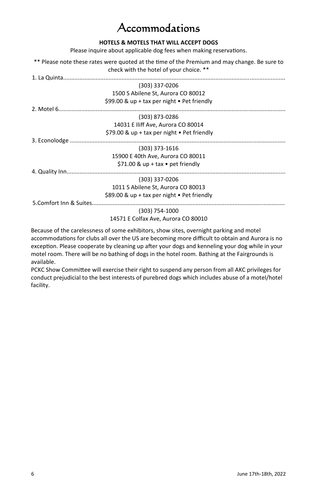### ccommodations

#### **HOTELS & MOTELS THAT WILL ACCEPT DOGS**

Please inquire about applicable dog fees when making reservations.

\*\* Please note these rates were quoted at the time of the Premium and may change. Be sure to check with the hotel of your choice. \*\*

| (303) 337-0206                                      |  |
|-----------------------------------------------------|--|
| 1500 S Abilene St, Aurora CO 80012                  |  |
| \$99.00 & up + tax per night $\bullet$ Pet friendly |  |
|                                                     |  |
| (303) 873-0286                                      |  |
| 14031 E Iliff Ave, Aurora CO 80014                  |  |
| \$79.00 & up + tax per night $\bullet$ Pet friendly |  |
|                                                     |  |
| (303) 373-1616                                      |  |
| 15900 E 40th Ave. Aurora CO 80011                   |  |
| \$71.00 & up + tax $\bullet$ pet friendly           |  |
|                                                     |  |
| (303) 337-0206                                      |  |
| 1011 S Abilene St, Aurora CO 80013                  |  |
| \$89.00 & up + tax per night • Pet friendly         |  |
|                                                     |  |
| (303) 754-1000                                      |  |
| 14571 E Colfax Ave, Aurora CO 80010                 |  |
|                                                     |  |

Because of the carelessness of some exhibitors, show sites, overnight parking and motel accommodations for clubs all over the US are becoming more difficult to obtain and Aurora is no exception. Please cooperate by cleaning up after your dogs and kenneling your dog while in your motel room. There will be no bathing of dogs in the hotel room. Bathing at the Fairgrounds is available.

PCKC Show Committee will exercise their right to suspend any person from all AKC privileges for conduct prejudicial to the best interests of purebred dogs which includes abuse of a motel/hotel facility.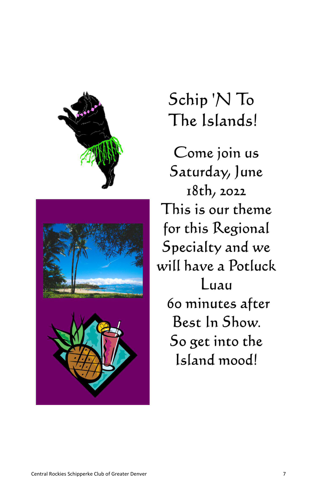

# Schip 'N To The Islands!

Come join us Saturday, June 18th, 2022 This is our theme for this Regional Specialty and we will have a Potluck Luau 60 minutes after Best In Show. So get into the Island mood!